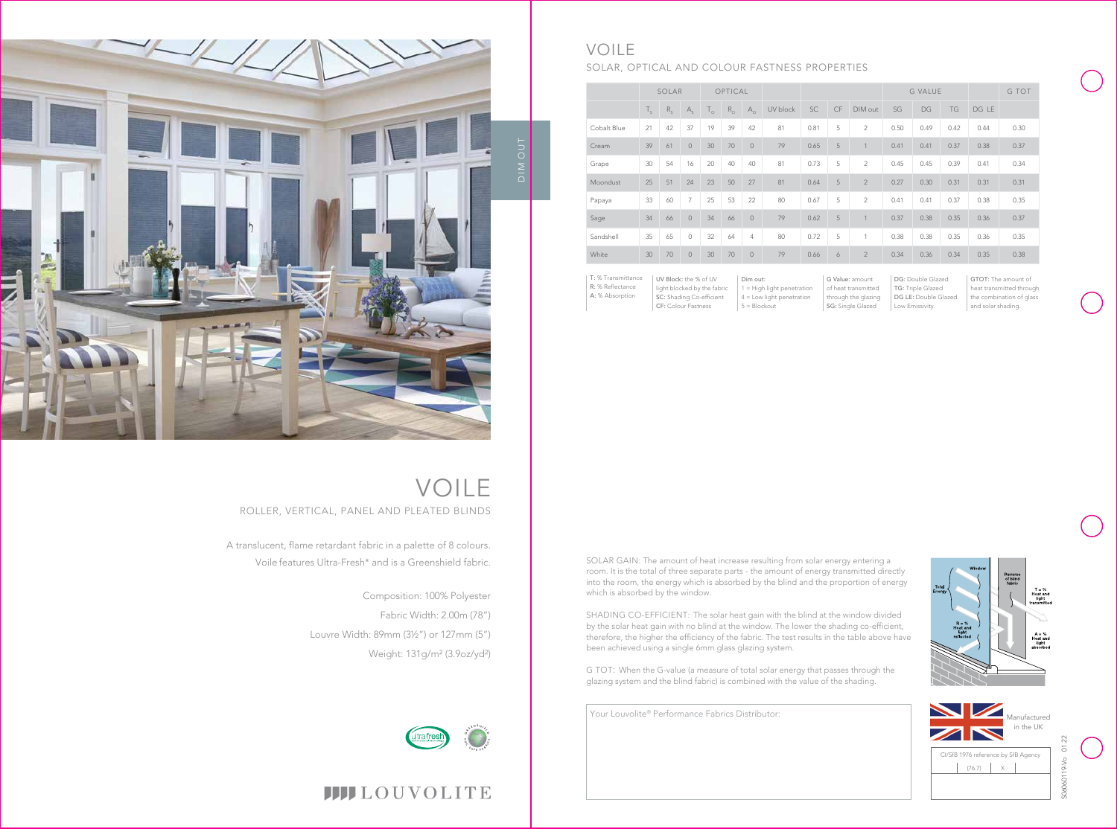

 $T = %$ <br>Heat and<br>light



Your Louvolite® Performance Fabrics Distributor:

DG: Double Glazed TG: Triple Glazed DG LE: Double Glazed Low Emissivity.

UV Block: the % of UV light blocked by the fabric SC: Shading Co-efficient Dim out: 1 = High light penetration 4 = Low light penetration  $5 = Blockout$ 

|             | SOLAR       |         |                | OPTICAL      |             |                |          |      |    |                | <b>G VALUE</b> |      |           |       | G TOT |
|-------------|-------------|---------|----------------|--------------|-------------|----------------|----------|------|----|----------------|----------------|------|-----------|-------|-------|
|             | $T_{\rm c}$ | $R_{c}$ | $A_{c}$        | $T_{\alpha}$ | $R_{\odot}$ | $A_{\Omega}$   | UV block | SC   | CF | DIM out        | SG             | DG   | <b>TG</b> | DG LE |       |
| Cobalt Blue | 21          | 42      | 37             | 19           | 39          | 42             | 81       | 0.81 | 5  | $\overline{2}$ | 0.50           | 0.49 | 0.42      | 0.44  | 0.30  |
| Cream       | 39          | 61      | $\overline{0}$ | 30           | 70          | $\overline{0}$ | 79       | 0.65 | 5  | 1              | 0.41           | 0.41 | 0.37      | 0.38  | 0.37  |
| Grape       | 30          | 54      | 16             | 20           | 40          | 40             | 81       | 0.73 | 5  | $\overline{2}$ | 0.45           | 0.45 | 0.39      | 0.41  | 0.34  |
| Moondust    | 25          | 51      | 24             | 23           | 50          | 27             | 81       | 0.64 | 5  | $\overline{2}$ | 0.27           | 0.30 | 0.31      | 0.31  | 0.31  |
| Papaya      | 33          | 60      | 7              | 25           | 53          | 22             | 80       | 0.67 | 5  | $\overline{2}$ | 0.41           | 0.41 | 0.37      | 0.38  | 0.35  |
| Sage        | 34          | 66      | $\overline{0}$ | 34           | 66          | $\mathbf 0$    | 79       | 0.62 | 5  |                | 0.37           | 0.38 | 0.35      | 0.36  | 0.37  |
| Sandshell   | 35          | 65      | 0              | 32           | 64          | $\overline{4}$ | 80       | 0.72 | 5  | 1              | 0.38           | 0.38 | 0.35      | 0.36  | 0.35  |
| White       | 30          | 70      | $\mathbf{0}$   | 30           | 70          | $\mathbf 0$    | 79       | 0.66 | 6  | $\overline{2}$ | 0.34           | 0.36 | 0.34      | 0.35  | 0.38  |

G Value: amount of heat transmitted through the glazing SG: Single Glazed

CF: Colour Fastness

T: % Transmittance R: % Reflectance A: % Absorption

GTOT: The amount of heat transmitted through the combination of glass and solar shading.



### VOILE SOLAR, OPTICAL AND COLOUR FASTNESS PROPERTIES



A translucent, flame retardant fabric in a palette of 8 colours. Voile features Ultra-Fresh\* and is a Greenshield fabric.

## VOILE ROLLER, VERTICAL, PANEL AND PLEATED BLINDS

Composition: 100% Polyester Fabric Width: 2.00m (78") Louvre Width: 89mm (3½") or 127mm (5") Weight: 131g/m² (3.9oz/yd²)



## **IIII**LOUVOLITE

SOLAR GAIN: The amount of heat increase resulting from solar energy entering a room. It is the total of three separate parts - the amount of energy transmitted directly into the room, the energy which is absorbed by the blind and the proportion of energy which is absorbed by the window.

SHADING CO-EFFICIENT: The solar heat gain with the blind at the window divided by the solar heat gain with no blind at the window. The lower the shading co-efficient, therefore, the higher the efficiency of the fabric. The test results in the table above have been achieved using a single 6mm glass glazing system.

G TOT: When the G-value (a measure of total solar energy that passes through the glazing system and the blind fabric) is combined with the value of the shading.